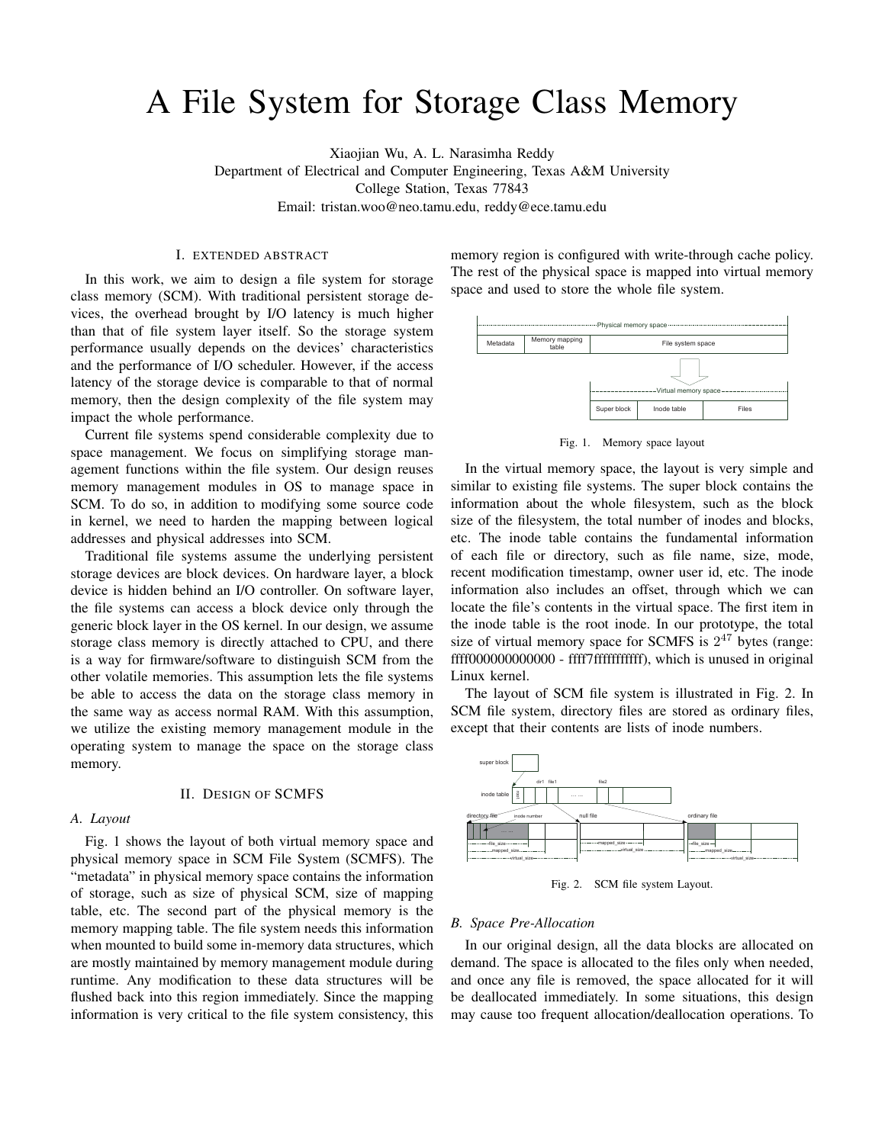# A File System for Storage Class Memory

Xiaojian Wu, A. L. Narasimha Reddy Department of Electrical and Computer Engineering, Texas A&M University College Station, Texas 77843 Email: tristan.woo@neo.tamu.edu, reddy@ece.tamu.edu

#### I. EXTENDED ABSTRACT

In this work, we aim to design a file system for storage class memory (SCM). With traditional persistent storage devices, the overhead brought by I/O latency is much higher than that of file system layer itself. So the storage system performance usually depends on the devices' characteristics and the performance of I/O scheduler. However, if the access latency of the storage device is comparable to that of normal memory, then the design complexity of the file system may impact the whole performance.

Current file systems spend considerable complexity due to space management. We focus on simplifying storage management functions within the file system. Our design reuses memory management modules in OS to manage space in SCM. To do so, in addition to modifying some source code in kernel, we need to harden the mapping between logical addresses and physical addresses into SCM.

Traditional file systems assume the underlying persistent storage devices are block devices. On hardware layer, a block device is hidden behind an I/O controller. On software layer, the file systems can access a block device only through the generic block layer in the OS kernel. In our design, we assume storage class memory is directly attached to CPU, and there is a way for firmware/software to distinguish SCM from the other volatile memories. This assumption lets the file systems be able to access the data on the storage class memory in the same way as access normal RAM. With this assumption, we utilize the existing memory management module in the operating system to manage the space on the storage class memory.

# II. DESIGN OF SCMFS

#### *A. Layout*

Fig. 1 shows the layout of both virtual memory space and physical memory space in SCM File System (SCMFS). The "metadata" in physical memory space contains the information of storage, such as size of physical SCM, size of mapping table, etc. The second part of the physical memory is the memory mapping table. The file system needs this information when mounted to build some in-memory data structures, which are mostly maintained by memory management module during runtime. Any modification to these data structures will be flushed back into this region immediately. Since the mapping information is very critical to the file system consistency, this

memory region is configured with write-through cache policy. The rest of the physical space is mapped into virtual memory space and used to store the whole file system.



Fig. 1. Memory space layout

In the virtual memory space, the layout is very simple and similar to existing file systems. The super block contains the information about the whole filesystem, such as the block size of the filesystem, the total number of inodes and blocks, etc. The inode table contains the fundamental information of each file or directory, such as file name, size, mode, recent modification timestamp, owner user id, etc. The inode information also includes an offset, through which we can locate the file's contents in the virtual space. The first item in the inode table is the root inode. In our prototype, the total size of virtual memory space for SCMFS is  $2^{47}$  bytes (range: ffff000000000000 - ffff7fffffffffff), which is unused in original Linux kernel.

The layout of SCM file system is illustrated in Fig. 2. In SCM file system, directory files are stored as ordinary files, except that their contents are lists of inode numbers.



Fig. 2. SCM file system Layout.

### *B. Space Pre-Allocation*

In our original design, all the data blocks are allocated on demand. The space is allocated to the files only when needed, and once any file is removed, the space allocated for it will be deallocated immediately. In some situations, this design may cause too frequent allocation/deallocation operations. To